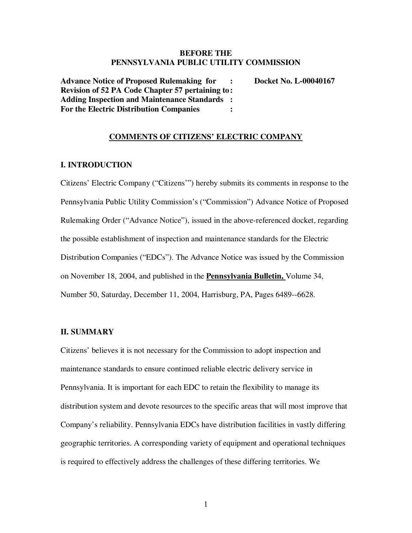## **BEFORE THE PENNSYLVANIA PUBLIC UTILITY COMMISSION**

**Advance Notice of Proposed Rulemaking for : Docket No. L-00040167 Revision of 52 PA Code Chapter 57 pertaining to: Adding Inspection and Maintenance Standards : For the Electric Distribution Companies :**

### **COMMENTS OF CITIZENS' ELECTRIC COMPANY**

### **I. INTRODUCTION**

Citizens' Electric Company ("Citizens'") hereby submits its comments in response to the Pennsylvania Public Utility Commission's ("Commission") Advance Notice of Proposed Rulemaking Order ("Advance Notice"), issued in the above-referenced docket, regarding the possible establishment of inspection and maintenance standards for the Electric Distribution Companies ("EDCs"). The Advance Notice was issued by the Commission on November 18, 2004, and published in the **Pennsylvania Bulletin,** Volume 34, Number 50, Saturday, December 11, 2004, Harrisburg, PA, Pages 6489--6628.

#### **II. SUMMARY**

Citizens' believes it is not necessary for the Commission to adopt inspection and maintenance standards to ensure continued reliable electric delivery service in Pennsylvania. It is important for each EDC to retain the flexibility to manage its distribution system and devote resources to the specific areas that will most improve that Company's reliability. Pennsylvania EDCs have distribution facilities in vastly differing geographic territories. A corresponding variety of equipment and operational techniques is required to effectively address the challenges of these differing territories. We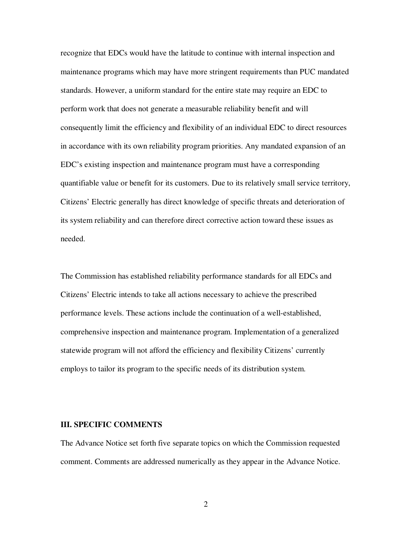recognize that EDCs would have the latitude to continue with internal inspection and maintenance programs which may have more stringent requirements than PUC mandated standards. However, a uniform standard for the entire state may require an EDC to perform work that does not generate a measurable reliability benefit and will consequently limit the efficiency and flexibility of an individual EDC to direct resources in accordance with its own reliability program priorities. Any mandated expansion of an EDC's existing inspection and maintenance program must have a corresponding quantifiable value or benefit for its customers. Due to its relatively small service territory, Citizens' Electric generally has direct knowledge of specific threats and deterioration of its system reliability and can therefore direct corrective action toward these issues as needed.

The Commission has established reliability performance standards for all EDCs and Citizens' Electric intends to take all actions necessary to achieve the prescribed performance levels. These actions include the continuation of a well-established, comprehensive inspection and maintenance program. Implementation of a generalized statewide program will not afford the efficiency and flexibility Citizens' currently employs to tailor its program to the specific needs of its distribution system.

#### **III. SPECIFIC COMMENTS**

The Advance Notice set forth five separate topics on which the Commission requested comment. Comments are addressed numerically as they appear in the Advance Notice.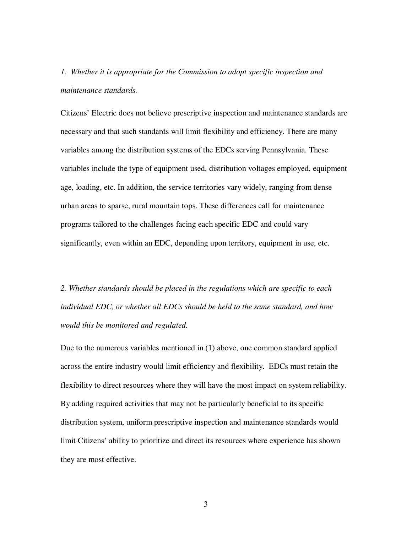# *1. Whether it is appropriate for the Commission to adopt specific inspection and maintenance standards.*

Citizens' Electric does not believe prescriptive inspection and maintenance standards are necessary and that such standards will limit flexibility and efficiency. There are many variables among the distribution systems of the EDCs serving Pennsylvania. These variables include the type of equipment used, distribution voltages employed, equipment age, loading, etc. In addition, the service territories vary widely, ranging from dense urban areas to sparse, rural mountain tops. These differences call for maintenance programs tailored to the challenges facing each specific EDC and could vary significantly, even within an EDC, depending upon territory, equipment in use, etc.

*2. Whether standards should be placed in the regulations which are specific to each individual EDC, or whether all EDCs should be held to the same standard, and how would this be monitored and regulated.*

Due to the numerous variables mentioned in (1) above, one common standard applied across the entire industry would limit efficiency and flexibility. EDCs must retain the flexibility to direct resources where they will have the most impact on system reliability. By adding required activities that may not be particularly beneficial to its specific distribution system, uniform prescriptive inspection and maintenance standards would limit Citizens' ability to prioritize and direct its resources where experience has shown they are most effective.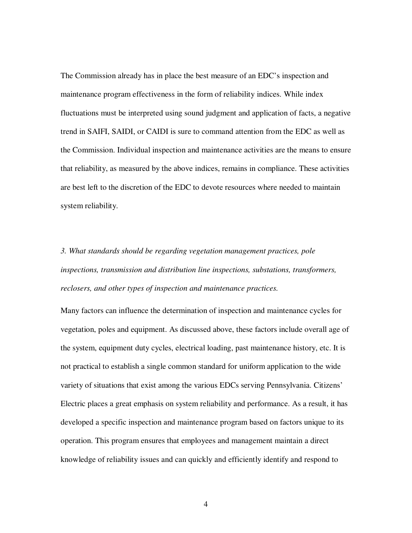The Commission already has in place the best measure of an EDC's inspection and maintenance program effectiveness in the form of reliability indices. While index fluctuations must be interpreted using sound judgment and application of facts, a negative trend in SAIFI, SAIDI, or CAIDI is sure to command attention from the EDC as well as the Commission. Individual inspection and maintenance activities are the means to ensure that reliability, as measured by the above indices, remains in compliance. These activities are best left to the discretion of the EDC to devote resources where needed to maintain system reliability.

*3. What standards should be regarding vegetation management practices, pole inspections, transmission and distribution line inspections, substations, transformers, reclosers, and other types of inspection and maintenance practices.*

Many factors can influence the determination of inspection and maintenance cycles for vegetation, poles and equipment. As discussed above, these factors include overall age of the system, equipment duty cycles, electrical loading, past maintenance history, etc. It is not practical to establish a single common standard for uniform application to the wide variety of situations that exist among the various EDCs serving Pennsylvania. Citizens' Electric places a great emphasis on system reliability and performance. As a result, it has developed a specific inspection and maintenance program based on factors unique to its operation. This program ensures that employees and management maintain a direct knowledge of reliability issues and can quickly and efficiently identify and respond to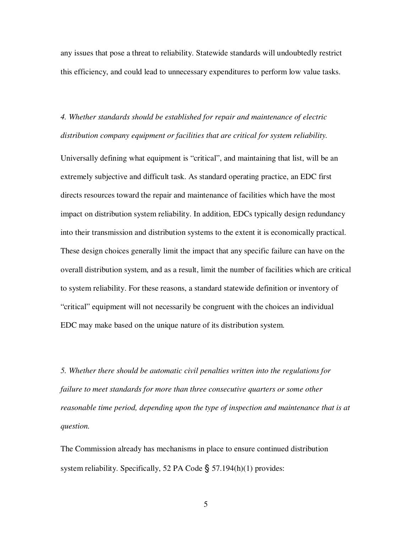any issues that pose a threat to reliability. Statewide standards will undoubtedly restrict this efficiency, and could lead to unnecessary expenditures to perform low value tasks.

*4. Whether standards should be established for repair and maintenance of electric distribution company equipment or facilities that are critical for system reliability.*

Universally defining what equipment is "critical", and maintaining that list, will be an extremely subjective and difficult task. As standard operating practice, an EDC first directs resources toward the repair and maintenance of facilities which have the most impact on distribution system reliability. In addition, EDCs typically design redundancy into their transmission and distribution systems to the extent it is economically practical. These design choices generally limit the impact that any specific failure can have on the overall distribution system, and as a result, limit the number of facilities which are critical to system reliability. For these reasons, a standard statewide definition or inventory of "critical" equipment will not necessarily be congruent with the choices an individual EDC may make based on the unique nature of its distribution system.

*5. Whether there should be automatic civil penalties written into the regulations for failure to meet standards for more than three consecutive quarters or some other reasonable time period, depending upon the type of inspection and maintenance that is at question.*

The Commission already has mechanisms in place to ensure continued distribution system reliability. Specifically, 52 PA Code  $\S$  57.194(h)(1) provides: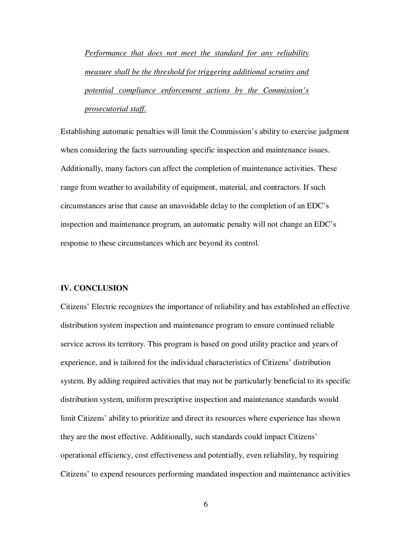*Performance that does not meet the standard for any reliability measure shall be the threshold for triggering additional scrutiny and potential compliance enforcement actions by the Commission's prosecutorial staff.*

Establishing automatic penalties will limit the Commission's ability to exercise judgment when considering the facts surrounding specific inspection and maintenance issues. Additionally, many factors can affect the completion of maintenance activities. These range from weather to availability of equipment, material, and contractors. If such circumstances arise that cause an unavoidable delay to the completion of an EDC's inspection and maintenance program, an automatic penalty will not change an EDC's response to these circumstances which are beyond its control.

#### **IV. CONCLUSION**

Citizens' Electric recognizes the importance of reliability and has established an effective distribution system inspection and maintenance program to ensure continued reliable service across its territory. This program is based on good utility practice and years of experience, and is tailored for the individual characteristics of Citizens' distribution system. By adding required activities that may not be particularly beneficial to its specific distribution system, uniform prescriptive inspection and maintenance standards would limit Citizens' ability to prioritize and direct its resources where experience has shown they are the most effective. Additionally, such standards could impact Citizens' operational efficiency, cost effectiveness and potentially, even reliability, by requiring Citizens' to expend resources performing mandated inspection and maintenance activities